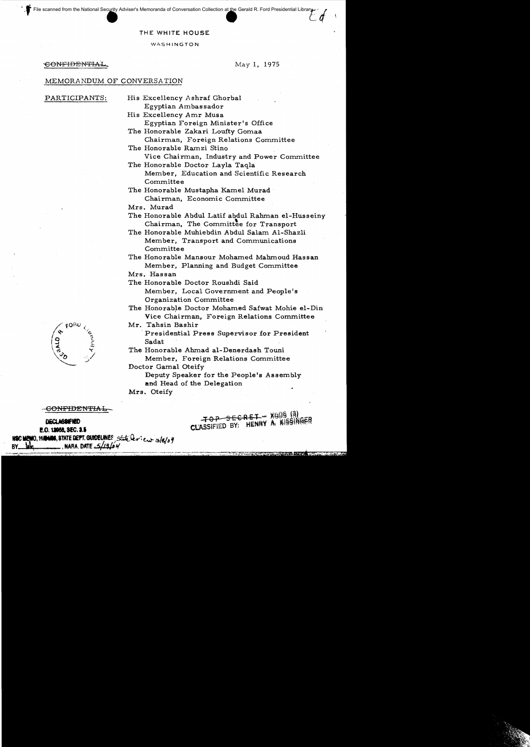File scanned from the National Security Adviser's Memoranda of Conversation Collection at the Gerald R. Ford Presidential Librar

## THE WHITE HOUSE

WASHINGTON

CONFIDENTIAL

May 1, 1975

## MEMORANDUM OF CONVERSATION

PARTICIPANTS:

His Excellency Ashraf Ghorbal Egyptian Ambassador

His Excellency Amr Musa Egyptian Foreign Minister's Office

- The Honorable Zakari Loufty Gomaa Chairman, Foreign Relations Committee
- The Honorable Ramzi Stino Vice Chairman, Industry and Power Committee The Honorable Doctor Layla Taqla

Member, Education and Scientific Research Committee

The Honorable Mustapha Kamel Murad Chairman, Economic Committee

Mrs. Murad

The Honorable Abdul Latif abdul Rahman el-Husseiny Chairman, The Committee for Transport

The Honorable Muhiebdin Abdul Salam Al-Shazli Member, Transport and Communications Committee

The Honorable Mansour Mohamed Mahmoud Hassan Member, Planning and Budget Committee

Mrs. Hassan

The Honorable Doctor Roushdi Said

Member, Local Government and People's Organization Committee

The Honorable Doctor Mohamed Safwat Mohie el-Din Vice Chairman, Foreign Relations Committee

Mr. Tahsin Bashir

Presidential Press Supervisor for President Sadat

The Honorable Ahmad al-Denerdash Touni Member, Foreign Relations Committee

Doctor Gamal Oteify Deputy Speaker for the People's Assembly and Head of the Delegation

Mrs. Oteify

<del>-CONFIDENTIAL</del>

**DECLASSIFIED** 

E.O. 12058, SEC. 3.5 : MEMO, HAMNOS, STATE DEPT. GUIDELINES, State lerien 3/8/04

TOP SECRET - XGDS (3)<br>CLASSIFIED BY: HENRY A. KISSINGER

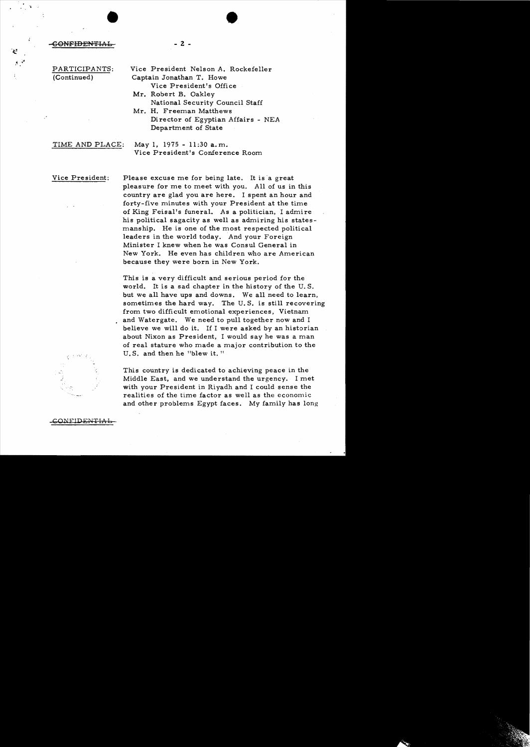• GONFIDENTIAL 2 -

Ý.

- PARTICIPANTS: Vice President Nelson A. Rockefeller (Continued) Captain Jonathan T. Howe Vice President's Office
	- **Mr.** Robert B. Oakley National Security Council Staff
	- Mr. H. Freeman Matthews Director of Egyptian Affairs - NEA Department of State

TIME AND PLACE: May I, 1975 - 11:30 a.m. Vice President's Conference Room

Vice President: Please excuse me for being late. It is a great pleasure for me to meet with you. All of us in this country are glad you are here. I spent an hour and forty-five minutes with your President at the time of King Feisal's funeral. As a politician, I admire his political sagacity as well as admiring his statesmanship. He is one of the most respected political leaders in the world today. And your Foreign Minister I knew when he was Consul General in New York. He even has children who are American because they were born in New York.

> This is a very difficult and serious period for the world. It is a sad chapter in the history of the U. S. but we all have ups and downs. We all need to learn, sometimes the hard way. The U. S. is still recovering from two difficult emotional experiences, Vietnam and Watergate. We need to pull together now and I believe we will do it. If I were asked by an historian about Nixon as President, I would say he was a man of real stature who made a major contribution to the U.S. and then he "blew it."

This country is dedicated to achieving peace in the Middle East, and we understand the urgency. I met with your President in Riyadh and I could sense the realities of the time factor as well as the economic and other problems Egypt faces. My family has long



GONEIDE<del>NTIA</del>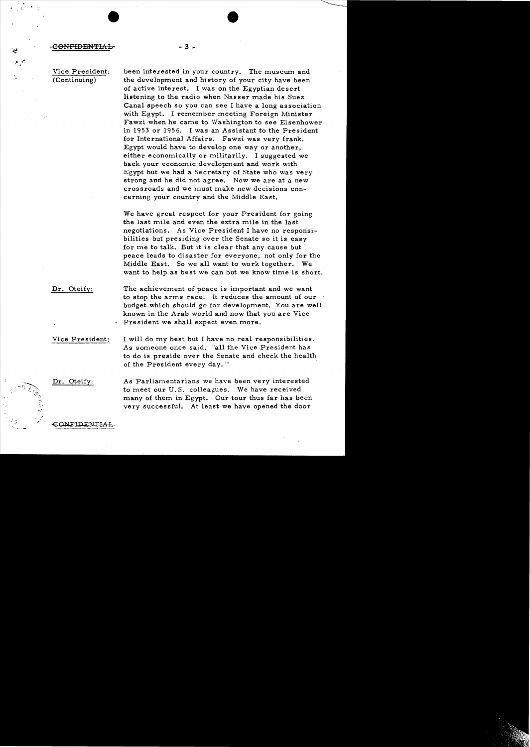## **CONFIDENTIAL**

44

 $\mathcal{O}(\mathcal{O})$ 

•

Vice President: • (Continuing)

been interested in your country. The musewn and the development and history of your city have been of active interest. I was on the Egyptian desert listening to the radio when Nasser made his Suez Canal speech so you can see I have a long association with Egypt. I remember meeting Foreign Minister Fawzi when he came to Washington to see Eisenhower in 1953 or 1954. I was an Assistant to the President for International Affairs. Fawzi was very frank. Egypt would have to develop one way or another, either economically or militarily. I suggested we back your economic development and work with Egypt but we had a Secretary of State who was very strong and he did not agree. Now we are at a new crossroads and we must make new decisions concerning your country and the Middle East.

We have great respect for your President for going the last mile and even the extra mile in the last negotiations. As Vice President I have no responsibilities but presiding over the Senate so it is easy for me to talk. But it is clear that any cause but peace leads to disaster for everyone. not only for the Middle East. So we all want to work together. We want to help as best we can but we know time is short.

Dr. Oteify: The achievement of peace is important and we want to stop the arms race. It reduces the amount of our budget which should go for development. You are well known in the Arab world and now that you are Vice President we shall expect even more.

 $-3 -$ 

Vice President: I will do my best but I have no real responsibilities. As someone once said, "all the Vice President has to do is preside over the Senate and check the health of the President every day."

Dr. Oteify:

As Parliamentarians we have been very interested to meet our U. S. colleagues. We have received many of them in Egypt. Our tour thus far has been very successful. At least we have opened the door

CONFIDENTI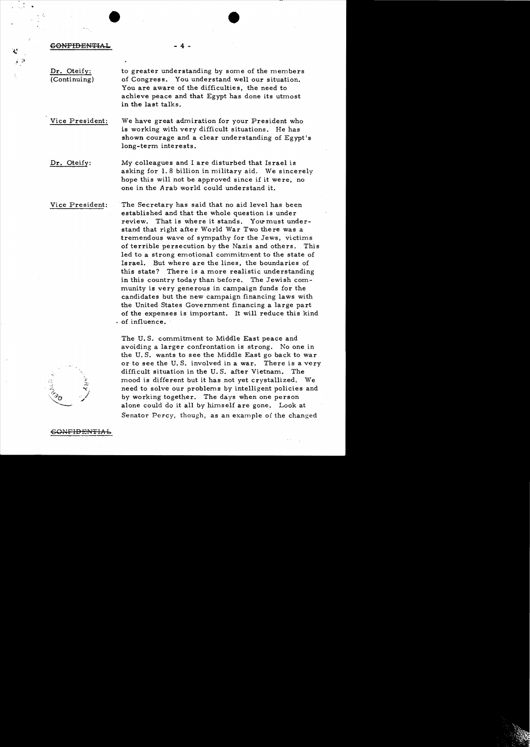GONFIDENTI

•

Dr. Oteify: (Continuing) to greater understanding by some of the members of Congress. You understand well our situation. You are aware of the difficulties, the need to achieve peace and that Egypt has done its utmost in the last talks.

Vice President: We have great admiration for your President who is working with very difficult situations. He has shown courage and a clear understanding of Egypt's long-term interests.

 $4 -$ 

Dr. Oteify: My colleagues and I are disturbed that Is rael is asking for 1. 8 billion in military aid. We sincerely hope this will not be approved since if it were, no one in the A rab world could understand it.

Vice President: The Secretary has said that no aid level has been established and that the whole question is under review. That is where it stands. You must understand that right after World War Two there was a tremendous wave of sympathy for the Jews, victims of terrible persecution by the Nazis and others. This led to a strong emotional commitment to the state of Israel. But where are the lines, the boundaries of this state? There is a more realistic understanding in this country today than before. The Jewish community is very generous in campaign funds for the candidates but the new campaign financing laws with the United States Government financing a large part of the expenses is important. It will reduce this kind . of influence.

 $\mathbf{v}_i$ . / ~

The U. S. commitment to Middle East peace and avoiding a larger confrontation is strong. No one in the U. S. wants to see the Middle East go back to war or to see the U. S. involved in a war. There is a very difficult situation in the U. S. after Vietnam. The mood is different but it has not yet crystallized. We need to solve our problems by intelligent policies and by working together. The days when one person alone could do it all by himself are gone. Look at Senator Percy, though, as an example of the changed

 $-6$ ONFIDENTIAL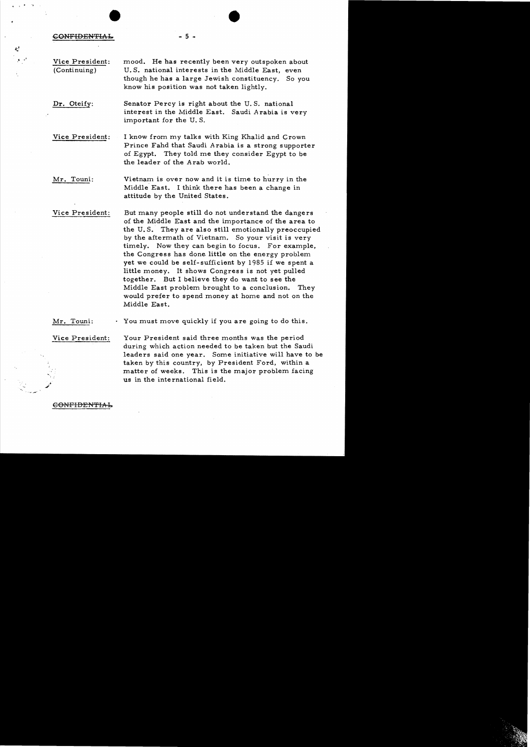**CONFIDENTIAL** 

 $\mathbf{A}$ 

Vice President: mood. He has recently been very outspoken about (Continuing) U.S. national interests in the Middle East, even though he has a large Jewish constituency. So you know his position was not taken lightly.

Dr. Oteify: Senator Percy is right about the U.S. national interest in the Middle East. Saudi *A* rabia is very important for the U. S.

Vice President: I know from my talks with King Khalid and Crown Prince Fahd that Saudi Arabia is a strong supporter of Egypt. They told me they consider Egypt to be the leader of the Arab world.

Mr. Touni: Wietnam is over now and it is time to hurry in the Middle East. I think there has been a change in attitude by the United States.

Vice President: But many people still do not understand the dangers of the Middle East and the importance of the area to the U. S. They are also still emotionally preoccupied by the aftermath of Vietnam. So your visit is very timely. Now they can begin to focus. For example, the Congress has done little on the energy problem yet we could be self-sufficient by 1985 if we spent a little money. It shows Congress is not yet pulled together. But I believe they do want to see the Middle East problem brought to a conclusion. They would prefer to spend money at home and not on the Middle East.

 $Mr.$  Touni:  $\cdot$  You must move quickly if you are going to do this.

Vice President: Your President said three months was the period during which action needed to be taken but the Saudi leaders said one year. Some initiative will have to be taken by this country, by President Ford, within a matter of weeks. This is the major problem facing us in the international field.

**GONFIDENTIA** 

$$
\overline{a}
$$